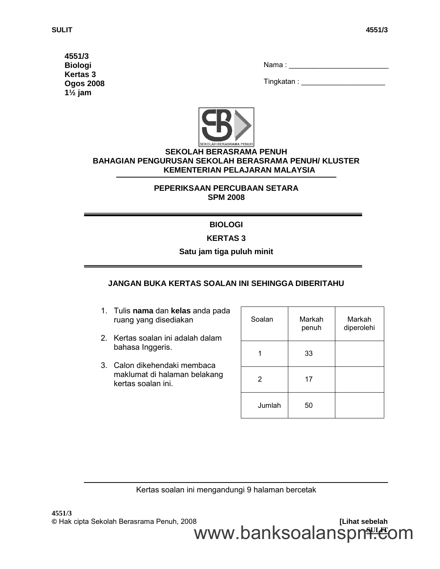**4551/3 Biologi Kertas 3 Ogos 2008 1½ jam**

| Nama : |
|--------|
|--------|

Tingkatan : \_\_\_\_\_\_\_\_\_\_\_\_\_\_\_\_\_\_\_\_\_



### **SEKOLAH BERASRAMA PENUH BAHAGIAN PENGURUSAN SEKOLAH BERASRAMA PENUH/ KLUSTER KEMENTERIAN PELAJARAN MALAYSIA**

### **PEPERIKSAAN PERCUBAAN SETARA SPM 2008**

# **BIOLOGI**

## **KERTAS 3**

## **Satu jam tiga puluh minit**

### **JANGAN BUKA KERTAS SOALAN INI SEHINGGA DIBERITAHU**

- 1. Tulis **nama** dan **kelas** anda pada ruang yang disediakan
- 2. Kertas soalan ini adalah dalam bahasa Inggeris.
- 3. Calon dikehendaki membaca maklumat di halaman belakang kertas soalan ini.

| Soalan         | Markah<br>penuh | Markah<br>diperolehi |
|----------------|-----------------|----------------------|
|                | 33              |                      |
| $\overline{2}$ | 17              |                      |
| Jumlah         | 50              |                      |

Kertas soalan ini mengandungi 9 halaman bercetak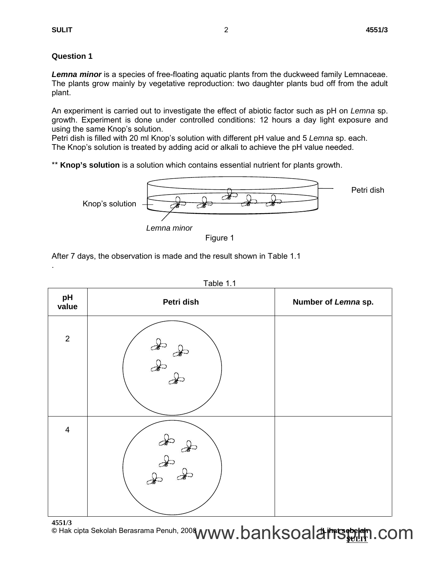.

## **Question 1**

*Lemna minor* is a species of free-floating aquatic plants from the duckweed family Lemnaceae. The plants grow mainly by vegetative reproduction: two daughter plants bud off from the adult plant.

An experiment is carried out to investigate the effect of abiotic factor such as pH on *Lemna* sp. growth. Experiment is done under controlled conditions: 12 hours a day light exposure and using the same Knop's solution.

Petri dish is filled with 20 ml Knop's solution with different pH value and 5 *Lemna* sp. each. The Knop's solution is treated by adding acid or alkali to achieve the pH value needed.

\*\* **Knop's solution** is a solution which contains essential nutrient for plants growth.



Figure 1

After 7 days, the observation is made and the result shown in Table 1.1

| pH<br>value             | Petri dish                                                                                                                                                                                                                                                                                                                                   | Number of Lemna sp. |
|-------------------------|----------------------------------------------------------------------------------------------------------------------------------------------------------------------------------------------------------------------------------------------------------------------------------------------------------------------------------------------|---------------------|
| $\overline{2}$          | $\begin{picture}(120,170) \put(0,0){\line(1,0){150}} \put(15,0){\line(1,0){150}} \put(15,0){\line(1,0){150}} \put(15,0){\line(1,0){150}} \put(15,0){\line(1,0){150}} \put(15,0){\line(1,0){150}} \put(15,0){\line(1,0){150}} \put(15,0){\line(1,0){150}} \put(15,0){\line(1,0){150}} \put(15,0){\line(1,0){150}} \put(15,0){\line(1,0){150$  |                     |
| $\overline{\mathbf{4}}$ | $\begin{picture}(120,15) \put(0,0){\line(1,0){155}} \put(15,0){\line(1,0){155}} \put(15,0){\line(1,0){155}} \put(15,0){\line(1,0){155}} \put(15,0){\line(1,0){155}} \put(15,0){\line(1,0){155}} \put(15,0){\line(1,0){155}} \put(15,0){\line(1,0){155}} \put(15,0){\line(1,0){155}} \put(15,0){\line(1,0){155}} \put(15,0){\line(1,0){155}}$ |                     |

| Table |  |
|-------|--|
|-------|--|

**4551/3** © Hak cipta Sekolah Berasrama Penuh, 200**8 <sub>A</sub> // A // A // A // A // A // A // 4 <del>/</del>iratseppelah** www.banksoala<del>nswm</del>.com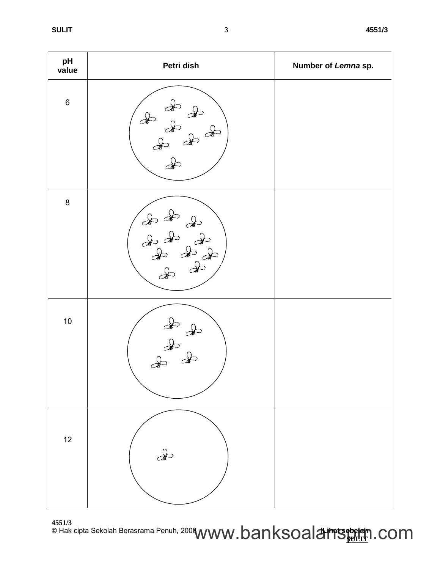| pH<br>value | Petri dish                                                                                                                                                                                                                                                                                                                                                                                   | Number of Lemna sp. |
|-------------|----------------------------------------------------------------------------------------------------------------------------------------------------------------------------------------------------------------------------------------------------------------------------------------------------------------------------------------------------------------------------------------------|---------------------|
| $\,6$       | $\frac{d}{dt}$<br>$\infty$<br>$\frac{1}{2}$                                                                                                                                                                                                                                                                                                                                                  |                     |
| $\bf 8$     | $\begin{picture}(120,15) \put(0,0){\vector(1,0){30}} \put(15,0){\vector(1,0){30}} \put(15,0){\vector(1,0){30}} \put(15,0){\vector(1,0){30}} \put(15,0){\vector(1,0){30}} \put(15,0){\vector(1,0){30}} \put(15,0){\vector(1,0){30}} \put(15,0){\vector(1,0){30}} \put(15,0){\vector(1,0){30}} \put(15,0){\vector(1,0){30}} \put(15,0){\vector(1,0){30}} \put(15,0){\vector($<br>$\frac{1}{2}$ |                     |
| $10\,$      | $\begin{picture}(120,170) \put(0,0){\line(1,0){155}} \put(15,0){\line(1,0){155}} \put(15,0){\line(1,0){155}} \put(15,0){\line(1,0){155}} \put(15,0){\line(1,0){155}} \put(15,0){\line(1,0){155}} \put(15,0){\line(1,0){155}} \put(15,0){\line(1,0){155}} \put(15,0){\line(1,0){155}} \put(15,0){\line(1,0){155}} \put(15,0){\line(1,0){155$                                                  |                     |
| 12          | $\rightarrow$                                                                                                                                                                                                                                                                                                                                                                                |                     |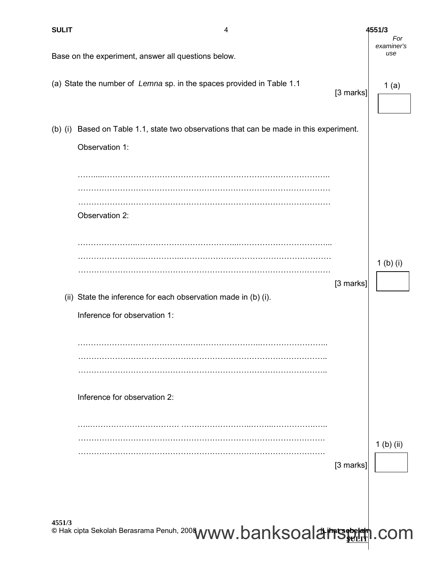| <b>SULIT</b> | 4                                                                                                 |           | 4551/3                   |
|--------------|---------------------------------------------------------------------------------------------------|-----------|--------------------------|
|              | Base on the experiment, answer all questions below.                                               |           | For<br>examiner's<br>use |
|              | (a) State the number of Lemna sp. in the spaces provided in Table 1.1                             | [3 marks] | 1(a)                     |
| $(b)$ (i)    | Based on Table 1.1, state two observations that can be made in this experiment.<br>Observation 1: |           |                          |
|              | Observation 2:                                                                                    |           |                          |
|              | (ii) State the inference for each observation made in (b) (i).                                    | [3 marks] | $1$ (b) (i)              |
|              | Inference for observation 1:                                                                      |           |                          |
|              | Inference for observation 2:                                                                      |           |                          |
|              |                                                                                                   |           | $1$ (b) (ii)             |
|              |                                                                                                   | [3 marks] |                          |
| 4551/3       | © Hak cipta Sekolah Berasrama Penuh, 2008 WWW. banksoalainsebelah                                 |           | .com                     |

 $\mathbf{I}$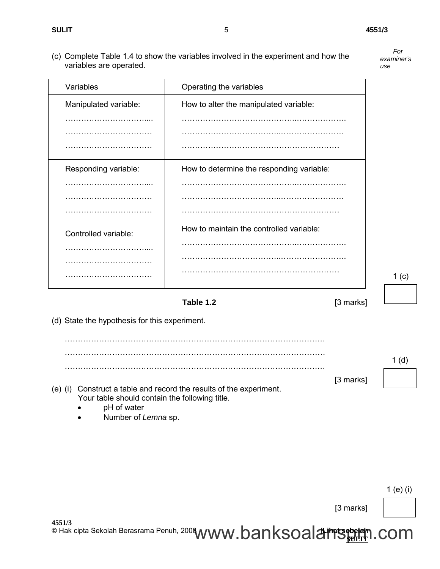(c) Complete Table 1.4 to show the variables involved in the experiment and how the variables are operated.

*For examiner's use*

| Variables                                     | Operating the variables                   |                  |
|-----------------------------------------------|-------------------------------------------|------------------|
| Manipulated variable:                         | How to alter the manipulated variable:    |                  |
|                                               |                                           |                  |
|                                               |                                           |                  |
|                                               |                                           |                  |
| Responding variable:                          | How to determine the responding variable: |                  |
|                                               |                                           |                  |
|                                               |                                           |                  |
|                                               |                                           |                  |
| Controlled variable:                          | How to maintain the controlled variable:  |                  |
|                                               |                                           |                  |
|                                               |                                           |                  |
|                                               |                                           | 1 <sub>(c)</sub> |
|                                               | Table 1.2<br>[3 marks]                    |                  |
| (d) State the hypothesis for this experiment. |                                           |                  |
|                                               |                                           |                  |
|                                               |                                           |                  |

[3 marks]

[3 marks]

(e) (i) Construct a table and record the results of the experiment. Your table should contain the following title.

………………………………………………………………………………………

© Hak cipta Sekolah Berasrama Penuh, 200**8 <sub>A</sub> // A // A // A // A // A // A // 4 <del>/</del>iratseppelah** 

• pH of water

**4551/3**

Number of *Lemna* sp.

1 (e) (i)

www.banksoala<del>nswm</del>lcom

5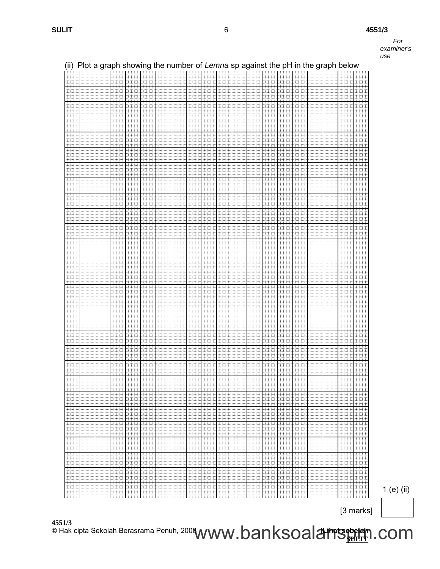

|               |           |         |           |            |             |               |        |      |               |     |           |           |     |              | (ii) Plot a graph showing the number of Lemna sp against the pH in the graph below |     |     |                 |       |           |
|---------------|-----------|---------|-----------|------------|-------------|---------------|--------|------|---------------|-----|-----------|-----------|-----|--------------|------------------------------------------------------------------------------------|-----|-----|-----------------|-------|-----------|
|               |           |         |           |            |             |               |        |      |               |     |           |           |     |              |                                                                                    |     |     |                 |       |           |
|               |           |         |           |            |             |               |        |      |               |     |           |           |     |              |                                                                                    |     |     |                 |       |           |
|               |           |         |           |            |             |               |        |      |               |     |           |           |     |              |                                                                                    |     |     |                 |       |           |
|               |           |         |           |            |             |               |        |      |               |     |           |           |     |              |                                                                                    |     |     |                 |       |           |
|               |           |         |           |            |             |               |        |      |               |     |           |           |     |              |                                                                                    |     |     |                 |       |           |
|               |           |         |           |            |             |               |        |      |               |     |           |           |     |              |                                                                                    |     |     |                 |       |           |
|               |           |         |           |            |             |               |        |      |               |     |           |           |     |              |                                                                                    |     |     |                 |       |           |
|               |           |         |           |            |             |               |        |      |               |     |           |           |     |              |                                                                                    |     |     |                 |       |           |
|               |           |         |           |            |             |               |        |      |               |     |           |           |     |              |                                                                                    |     |     |                 |       |           |
|               |           |         |           |            |             |               |        |      |               |     |           |           |     |              |                                                                                    |     |     |                 |       |           |
|               |           |         |           |            |             |               |        |      |               |     |           |           |     |              |                                                                                    |     |     |                 |       |           |
|               |           |         |           |            |             |               |        |      |               |     |           |           |     |              |                                                                                    |     |     |                 |       |           |
|               |           |         |           |            |             |               |        |      |               |     |           |           |     |              |                                                                                    |     |     |                 |       |           |
|               |           |         |           |            |             |               |        |      |               |     |           |           |     |              |                                                                                    |     |     |                 |       |           |
|               |           |         |           |            |             |               |        |      |               |     |           |           |     |              |                                                                                    |     |     |                 |       |           |
|               |           |         |           |            |             |               |        |      |               |     |           |           |     |              |                                                                                    |     |     |                 |       |           |
|               |           |         |           |            |             |               |        |      |               |     |           |           |     |              |                                                                                    |     |     |                 |       |           |
|               |           |         |           |            |             |               |        |      |               |     |           |           |     |              |                                                                                    |     |     |                 |       |           |
|               |           |         |           |            |             |               |        |      |               |     |           |           |     |              |                                                                                    |     |     |                 |       |           |
|               |           |         |           |            |             |               |        |      |               |     |           |           |     |              |                                                                                    |     |     |                 |       |           |
|               |           |         |           |            |             |               |        |      |               |     |           |           |     |              |                                                                                    |     |     |                 |       |           |
|               |           |         |           |            |             |               |        |      |               |     |           |           |     |              |                                                                                    |     |     |                 |       |           |
|               |           |         |           |            |             |               |        |      |               |     |           |           |     |              |                                                                                    |     |     |                 |       |           |
|               |           |         |           |            |             |               |        |      |               |     |           |           |     |              |                                                                                    |     |     |                 |       |           |
|               |           |         |           |            |             |               |        |      |               |     |           |           |     |              |                                                                                    |     |     |                 |       |           |
|               |           |         |           |            |             |               |        |      |               |     |           |           |     |              |                                                                                    |     |     |                 |       |           |
|               |           |         |           |            |             |               |        |      |               |     |           |           |     |              |                                                                                    |     |     |                 |       |           |
|               |           |         |           |            |             |               |        |      |               |     |           |           |     |              |                                                                                    |     |     |                 |       |           |
|               |           |         |           |            |             |               |        |      |               |     |           |           |     |              |                                                                                    |     |     |                 |       |           |
|               |           |         |           |            |             |               |        |      |               |     |           |           |     |              |                                                                                    |     |     |                 |       |           |
| 4             |           |         |           | ÷          |             | 44            |        |      |               |     | ÷         |           | 1   |              |                                                                                    |     | Ħ   | Ą.              |       |           |
|               | Hi        |         | iiii      | HH         | HH          | iii           |        | HH   | HH            |     | HH        | HH        | Ħ   | HH           | 59                                                                                 | 揖   | ĦH  | 88              |       | ili       |
| ĦH            | 4.4.4.    | hH      | ŦH        | .          | 484         |               |        | iddi | .             | 444 | 144<br>44 | ₩ŧ        | Ħŧ  | .            | HH                                                                                 | ₩   | ₩   | -1-1-           |       | 44        |
| iilii         |           | İ<br>Ħŧ | Ħ<br>4444 | titit      | 111         | II.           |        | ₩Ū   | ititi<br>1444 |     | H#<br>444 | iii<br>44 | Hii | iti          | iiii<br>Ħŧ                                                                         | ₩.  | W   | 444             | 44 I  |           |
|               | لللبلي    | 1111    |           | ilili.     | M)          | ww            | 111    | 44   | WW            |     |           | I         | H   | 444          | I                                                                                  | III | W   | 444             |       | .         |
| me            |           | HI      |           | Ħ          |             |               |        | 111  |               |     |           |           |     | ##           |                                                                                    |     |     | 44              |       |           |
|               |           |         | W         | ₩          | M           |               |        | ₽    | idid<br>FS 4  |     | H         |           | Ħ   |              | HI                                                                                 | Ħ   | H.  |                 | 44    |           |
| Hatiq.<br>111 | بالباطبات | 4444    | Ħ         | 4444<br>ĦĦ | بإطباط<br>Ħ | بإجابته<br>44 | المتقط | HU   | 現出            |     | Ħ         | 444       | HI. | إحاء الماليا | ĦI                                                                                 | H   | HH. | .1.1.1.1.<br>44 | 44.4. | بإبارتيار |
|               |           |         |           |            |             |               |        |      |               |     |           |           |     |              |                                                                                    |     |     |                 |       |           |
| HH            | 44        | Ħ       | Ħ         | Ħ          | 9           | ++++<br>tit:  | 111    | W    | 44            |     | N.        | :00       | HI. | Ħ            | Ħ                                                                                  | ₩   | Ħ   | 44              | ++++  | 4444      |
| Ħ             | Ħ         | I       |           | HH.        | HI          | HH.           | Ħ      | ₩    | <b>Albert</b> |     | H         | Ħ         | SU) | H            | HH.                                                                                | W   | HH. | <b>WANG</b>     | I     | NH        |
|               |           |         |           |            |             |               |        |      |               |     |           |           |     |              |                                                                                    |     |     |                 |       |           |

| ii) Plot a graph showing the number of Lemna sp against the pH in the graph belov |  |  |
|-----------------------------------------------------------------------------------|--|--|

 $[3$  marks]

www.banksoala<del>nswm</del>lcom

1 (e) (ii)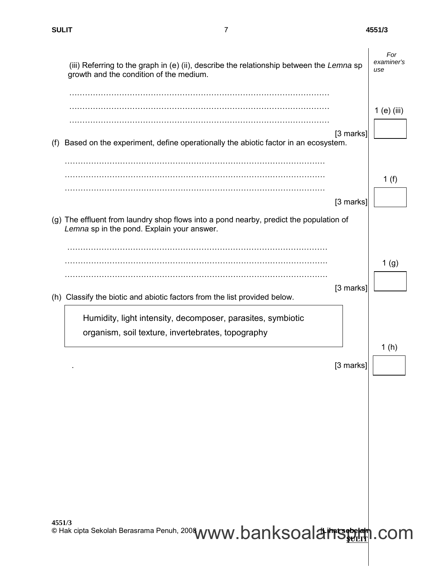$\overline{\phantom{a}}$ 

| (iii) Referring to the graph in (e) (ii), describe the relationship between the Lemna sp<br>growth and the condition of the medium.                                                                        | For<br>examiner's<br>use |
|------------------------------------------------------------------------------------------------------------------------------------------------------------------------------------------------------------|--------------------------|
| $[3$ marks]<br>Based on the experiment, define operationally the abiotic factor in an ecosystem.<br>(f)                                                                                                    | $1$ (e) (iii)            |
| $[3$ marks]<br>(g) The effluent from laundry shop flows into a pond nearby, predict the population of                                                                                                      | 1 $(f)$                  |
| Lemna sp in the pond. Explain your answer.                                                                                                                                                                 | 1 <sub>(g)</sub>         |
| [3 marks]<br>(h) Classify the biotic and abiotic factors from the list provided below.<br>Humidity, light intensity, decomposer, parasites, symbiotic<br>organism, soil texture, invertebrates, topography |                          |
| [3 marks]                                                                                                                                                                                                  | 1(h)                     |
|                                                                                                                                                                                                            |                          |
|                                                                                                                                                                                                            |                          |
| 4551/3<br>© Hak cipta Sekolah Berasrama Penuh, 2008 WWW.banksoal & imisebelam . com                                                                                                                        |                          |

7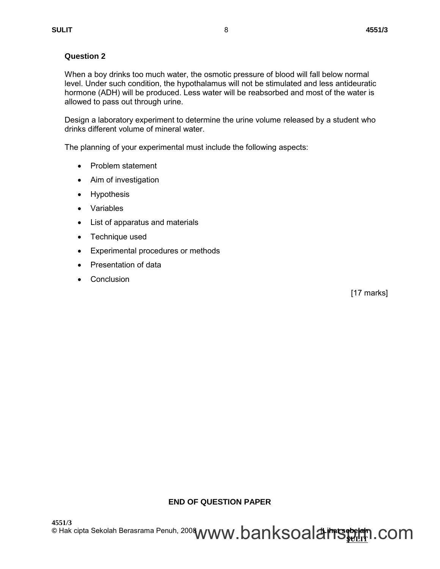## **Question 2**

When a boy drinks too much water, the osmotic pressure of blood will fall below normal level. Under such condition, the hypothalamus will not be stimulated and less antideuratic hormone (ADH) will be produced. Less water will be reabsorbed and most of the water is allowed to pass out through urine.

Design a laboratory experiment to determine the urine volume released by a student who drinks different volume of mineral water.

The planning of your experimental must include the following aspects:

- Problem statement
- Aim of investigation
- Hypothesis
- Variables
- List of apparatus and materials
- Technique used
- Experimental procedures or methods
- Presentation of data
- Conclusion

[17 marks]

## **END OF QUESTION PAPER**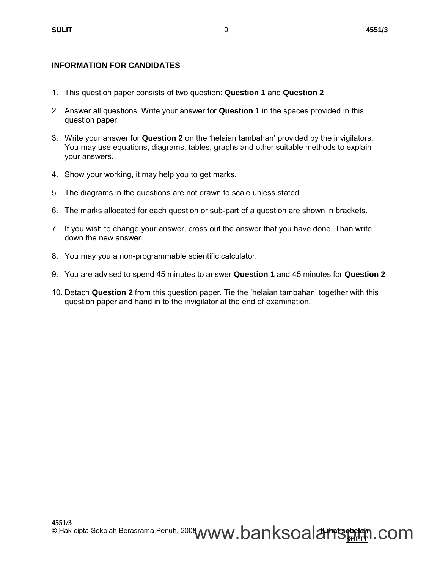## **INFORMATION FOR CANDIDATES**

- 1. This question paper consists of two question: **Question 1** and **Question 2**
- 2. Answer all questions. Write your answer for **Question 1** in the spaces provided in this question paper.
- 3. Write your answer for **Question 2** on the 'helaian tambahan' provided by the invigilators. You may use equations, diagrams, tables, graphs and other suitable methods to explain your answers.
- 4. Show your working, it may help you to get marks.
- 5. The diagrams in the questions are not drawn to scale unless stated
- 6. The marks allocated for each question or sub-part of a question are shown in brackets.
- 7. If you wish to change your answer, cross out the answer that you have done. Than write down the new answer.
- 8. You may you a non-programmable scientific calculator.
- 9. You are advised to spend 45 minutes to answer **Question 1** and 45 minutes for **Question 2**
- 10. Detach **Question 2** from this question paper. Tie the 'helaian tambahan' together with this question paper and hand in to the invigilator at the end of examination.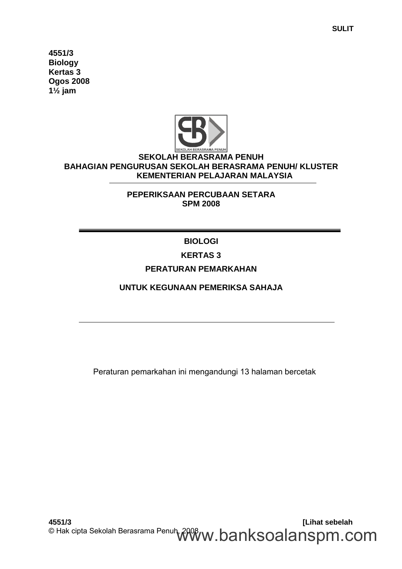**4551/3 Biology Kertas 3 Ogos 2008 1½ jam**



# **SEKOLAH BERASRAMA PENUH BAHAGIAN PENGURUSAN SEKOLAH BERASRAMA PENUH/ KLUSTER KEMENTERIAN PELAJARAN MALAYSIA**

**PEPERIKSAAN PERCUBAAN SETARA SPM 2008**

**BIOLOGI**

# **KERTAS 3**

# **PERATURAN PEMARKAHAN**

**UNTUK KEGUNAAN PEMERIKSA SAHAJA**

Peraturan pemarkahan ini mengandungi 13 halaman bercetak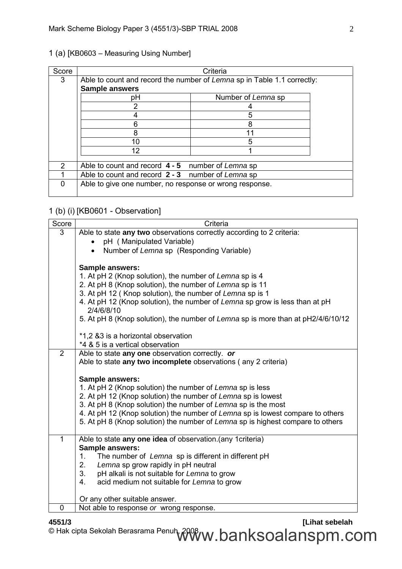|  |  |  | 1 (a) [KB0603 - Measuring Using Number] |  |  |
|--|--|--|-----------------------------------------|--|--|
|--|--|--|-----------------------------------------|--|--|

| Score         |                                                                         | Criteria |  |  |  |  |  |  |  |  |  |
|---------------|-------------------------------------------------------------------------|----------|--|--|--|--|--|--|--|--|--|
| 3             | Able to count and record the number of Lemna sp in Table 1.1 correctly: |          |  |  |  |  |  |  |  |  |  |
|               | <b>Sample answers</b>                                                   |          |  |  |  |  |  |  |  |  |  |
|               | Number of Lemna sp<br>рH                                                |          |  |  |  |  |  |  |  |  |  |
|               |                                                                         |          |  |  |  |  |  |  |  |  |  |
|               |                                                                         |          |  |  |  |  |  |  |  |  |  |
|               |                                                                         | 8        |  |  |  |  |  |  |  |  |  |
|               | 8                                                                       |          |  |  |  |  |  |  |  |  |  |
|               | 10                                                                      | 5        |  |  |  |  |  |  |  |  |  |
|               | 12                                                                      |          |  |  |  |  |  |  |  |  |  |
|               |                                                                         |          |  |  |  |  |  |  |  |  |  |
| $\mathcal{P}$ | Able to count and record $4 - 5$ number of Lemna sp                     |          |  |  |  |  |  |  |  |  |  |
|               | Able to count and record 2 - 3 number of Lemna sp                       |          |  |  |  |  |  |  |  |  |  |
| O             | Able to give one number, no response or wrong response.                 |          |  |  |  |  |  |  |  |  |  |

## 1 (b) (i) [KB0601 - Observation]

| Score        | Criteria                                                                                  |
|--------------|-------------------------------------------------------------------------------------------|
| 3            | Able to state any two observations correctly according to 2 criteria:                     |
|              | pH (Manipulated Variable)                                                                 |
|              | Number of Lemna sp (Responding Variable)                                                  |
|              |                                                                                           |
|              | <b>Sample answers:</b>                                                                    |
|              | 1. At pH 2 (Knop solution), the number of Lemna sp is 4                                   |
|              | 2. At pH 8 (Knop solution), the number of Lemna sp is 11                                  |
|              | 3. At pH 12 (Knop solution), the number of Lemna sp is 1                                  |
|              | 4. At pH 12 (Knop solution), the number of Lemna sp grow is less than at pH<br>2/4/6/8/10 |
|              | 5. At pH 8 (Knop solution), the number of Lemna sp is more than at pH2/4/6/10/12          |
|              |                                                                                           |
|              | *1,2 &3 is a horizontal observation                                                       |
|              | *4 & 5 is a vertical observation                                                          |
| 2            | Able to state any one observation correctly. or                                           |
|              | Able to state any two incomplete observations (any 2 criteria)                            |
|              |                                                                                           |
|              | <b>Sample answers:</b>                                                                    |
|              | 1. At pH 2 (Knop solution) the number of Lemna sp is less                                 |
|              | 2. At pH 12 (Knop solution) the number of Lemna sp is lowest                              |
|              | 3. At pH 8 (Knop solution) the number of Lemna sp is the most                             |
|              | 4. At pH 12 (Knop solution) the number of Lemna sp is lowest compare to others            |
|              | 5. At pH 8 (Knop solution) the number of Lemna sp is highest compare to others            |
| $\mathbf{1}$ | Able to state any one idea of observation.(any 1 criteria)                                |
|              | Sample answers:                                                                           |
|              | The number of Lemna sp is different in different pH<br>1.                                 |
|              | 2.<br>Lemna sp grow rapidly in pH neutral                                                 |
|              | 3.<br>pH alkali is not suitable for Lemna to grow                                         |
|              | acid medium not suitable for Lemna to grow<br>4.                                          |
|              | Or any other suitable answer.                                                             |
| $\mathbf 0$  | Not able to response or wrong response.                                                   |

**4551/3 [Lihat sebelah** © Hak cipta Sekolah Berasrama Penuh, 2008 $\pmb{w}$ .  $\pmb{b}$ an $\pmb{k}$ soalan $\pmb{s}$ pm.com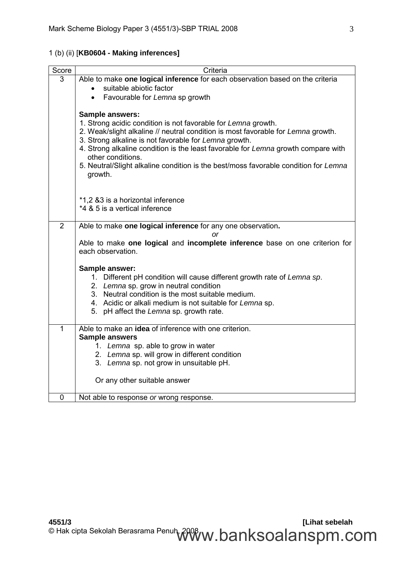| Score          | Criteria                                                                                    |  |  |  |  |
|----------------|---------------------------------------------------------------------------------------------|--|--|--|--|
| 3              | Able to make one logical inference for each observation based on the criteria               |  |  |  |  |
|                | suitable abiotic factor<br>$\bullet$                                                        |  |  |  |  |
|                | Favourable for Lemna sp growth<br>$\bullet$                                                 |  |  |  |  |
|                |                                                                                             |  |  |  |  |
|                | Sample answers:                                                                             |  |  |  |  |
|                | 1. Strong acidic condition is not favorable for Lemna growth.                               |  |  |  |  |
|                | 2. Weak/slight alkaline // neutral condition is most favorable for Lemna growth.            |  |  |  |  |
|                | 3. Strong alkaline is not favorable for Lemna growth.                                       |  |  |  |  |
|                | 4. Strong alkaline condition is the least favorable for Lemna growth compare with           |  |  |  |  |
|                | other conditions.                                                                           |  |  |  |  |
|                | 5. Neutral/Slight alkaline condition is the best/moss favorable condition for Lemna         |  |  |  |  |
|                | growth.                                                                                     |  |  |  |  |
|                |                                                                                             |  |  |  |  |
|                | *1,2 &3 is a horizontal inference                                                           |  |  |  |  |
|                | *4 & 5 is a vertical inference                                                              |  |  |  |  |
|                |                                                                                             |  |  |  |  |
| $\overline{2}$ | Able to make one logical inference for any one observation.                                 |  |  |  |  |
|                | or                                                                                          |  |  |  |  |
|                | Able to make one logical and incomplete inference base on one criterion for                 |  |  |  |  |
|                | each observation.                                                                           |  |  |  |  |
|                |                                                                                             |  |  |  |  |
|                | Sample answer:                                                                              |  |  |  |  |
|                | 1. Different pH condition will cause different growth rate of Lemna sp.                     |  |  |  |  |
|                | 2. Lemna sp. grow in neutral condition<br>3. Neutral condition is the most suitable medium. |  |  |  |  |
|                | 4. Acidic or alkali medium is not suitable for Lemna sp.                                    |  |  |  |  |
|                | 5. pH affect the Lemna sp. growth rate.                                                     |  |  |  |  |
|                |                                                                                             |  |  |  |  |
| $\mathbf{1}$   | Able to make an idea of inference with one criterion.                                       |  |  |  |  |
|                | <b>Sample answers</b>                                                                       |  |  |  |  |
|                | 1. Lemna sp. able to grow in water                                                          |  |  |  |  |
|                | 2. Lemna sp. will grow in different condition                                               |  |  |  |  |
|                | 3. Lemna sp. not grow in unsuitable pH.                                                     |  |  |  |  |
|                |                                                                                             |  |  |  |  |
|                | Or any other suitable answer                                                                |  |  |  |  |
|                |                                                                                             |  |  |  |  |
| $\mathbf 0$    | Not able to response or wrong response.                                                     |  |  |  |  |

# 1 (b) (ii) [**KB0604 - Making inferences]**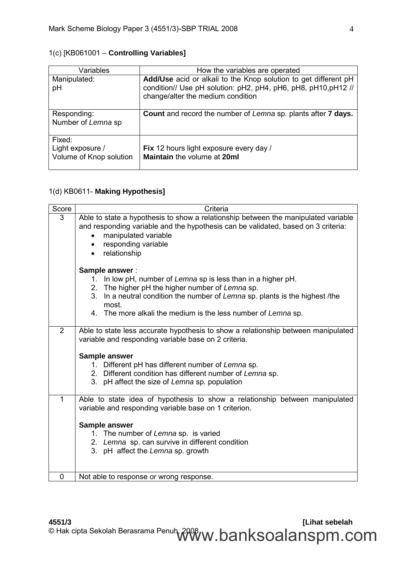| Variables                                             | How the variables are operated                                                                                                                                         |
|-------------------------------------------------------|------------------------------------------------------------------------------------------------------------------------------------------------------------------------|
| Manipulated:<br>pH                                    | Add/Use acid or alkali to the Knop solution to get different pH<br>condition// Use pH solution: pH2, pH4, pH6, pH8, pH10, pH12 //<br>change/alter the medium condition |
| Responding:<br>Number of Lemna sp                     | Count and record the number of Lemna sp. plants after 7 days.                                                                                                          |
| Fixed:<br>Light exposure /<br>Volume of Knop solution | Fix 12 hours light exposure every day /<br>Maintain the volume at 20ml                                                                                                 |

# 1(c) [KB061001 – **Controlling Variables]**

# 1(d) KB0611- **Making Hypothesis]**

| Score        | Criteria                                                                                                                                                                                                                               |
|--------------|----------------------------------------------------------------------------------------------------------------------------------------------------------------------------------------------------------------------------------------|
| 3            | Able to state a hypothesis to show a relationship between the manipulated variable<br>and responding variable and the hypothesis can be validated, based on 3 criteria:<br>manipulated variable<br>responding variable<br>relationship |
|              | Sample answer:                                                                                                                                                                                                                         |
|              | 1. In low pH, number of Lemna sp is less than in a higher pH.<br>2. The higher pH the higher number of Lemna sp.                                                                                                                       |
|              | 3. In a neutral condition the number of Lemna sp. plants is the highest /the<br>most.                                                                                                                                                  |
|              | 4. The more alkali the medium is the less number of Lemna sp.                                                                                                                                                                          |
| 2            | Able to state less accurate hypothesis to show a relationship between manipulated<br>variable and responding variable base on 2 criteria.                                                                                              |
|              | Sample answer                                                                                                                                                                                                                          |
|              | 1. Different pH has different number of Lemna sp.                                                                                                                                                                                      |
|              | 2. Different condition has different number of Lemna sp.<br>3. pH affect the size of Lemna sp. population                                                                                                                              |
|              |                                                                                                                                                                                                                                        |
| $\mathbf{1}$ | Able to state idea of hypothesis to show a relationship between manipulated<br>variable and responding variable base on 1 criterion.                                                                                                   |
|              | Sample answer                                                                                                                                                                                                                          |
|              | 1. The number of Lemna sp. is varied                                                                                                                                                                                                   |
|              | 2. Lemna sp. can survive in different condition<br>3. pH affect the Lemna sp. growth                                                                                                                                                   |
|              |                                                                                                                                                                                                                                        |
| 0            | Not able to response or wrong response.                                                                                                                                                                                                |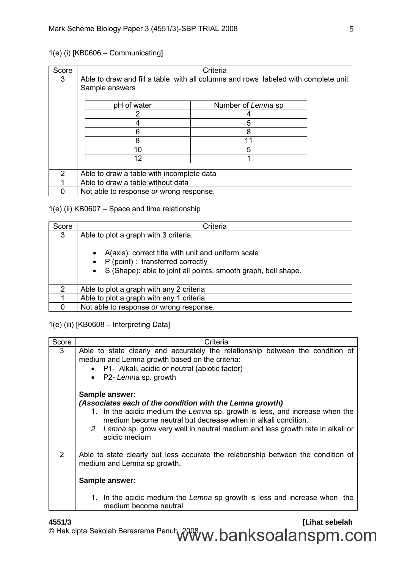# 1(e) (i) [KB0606 – Communicating]

| Score |                                                                                                      | Criteria           |  |  |
|-------|------------------------------------------------------------------------------------------------------|--------------------|--|--|
| 3     | Able to draw and fill a table with all columns and rows labeled with complete unit<br>Sample answers |                    |  |  |
|       | pH of water                                                                                          | Number of Lemna sp |  |  |
|       |                                                                                                      |                    |  |  |
|       |                                                                                                      | 5                  |  |  |
|       | հ                                                                                                    | 8                  |  |  |
|       | 8                                                                                                    |                    |  |  |
|       | 10                                                                                                   | 5                  |  |  |
|       | 12                                                                                                   |                    |  |  |
|       |                                                                                                      |                    |  |  |
| 2     | Able to draw a table with incomplete data                                                            |                    |  |  |
|       | Able to draw a table without data                                                                    |                    |  |  |
|       | Not able to response or wrong response.                                                              |                    |  |  |

# 1(e) (ii) KB0607 – Space and time relationship

| Score         | Criteria                                                                                                                                                                    |
|---------------|-----------------------------------------------------------------------------------------------------------------------------------------------------------------------------|
| 3             | Able to plot a graph with 3 criteria:                                                                                                                                       |
|               | A(axis): correct title with unit and uniform scale<br>$\bullet$<br>• $P$ (point): transferred correctly<br>• S (Shape): able to joint all points, smooth graph, bell shape. |
| $\mathcal{P}$ | Able to plot a graph with any 2 criteria                                                                                                                                    |
|               | Able to plot a graph with any 1 criteria                                                                                                                                    |
|               | Not able to response or wrong response.                                                                                                                                     |

## 1(e) (iii) [KB0608 – Interpreting Data]

| Score | Criteria                                                                                                                                                                                                                                                                                                                                                                                                                                                                                                                                              |
|-------|-------------------------------------------------------------------------------------------------------------------------------------------------------------------------------------------------------------------------------------------------------------------------------------------------------------------------------------------------------------------------------------------------------------------------------------------------------------------------------------------------------------------------------------------------------|
| 3     | Able to state clearly and accurately the relationship between the condition of<br>medium and Lemna growth based on the criteria:<br>• P1- Alkali, acidic or neutral (abiotic factor)<br>• P2- Lemna sp. growth<br><b>Sample answer:</b><br>(Associates each of the condition with the Lemna growth)<br>1. In the acidic medium the Lemna sp. growth is less, and increase when the<br>medium become neutral but decrease when in alkali condition.<br>2 Lemna sp. grow very well in neutral medium and less growth rate in alkali or<br>acidic medium |
| 2     | Able to state clearly but less accurate the relationship between the condition of<br>medium and Lemna sp growth.<br>Sample answer:<br>1. In the acidic medium the Lemna sp growth is less and increase when the<br>medium become neutral                                                                                                                                                                                                                                                                                                              |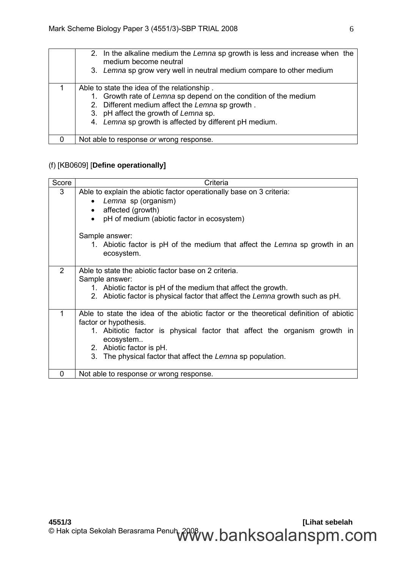| 2. In the alkaline medium the Lemna sp growth is less and increase when the<br>medium become neutral<br>3. Lemna sp grow very well in neutral medium compare to other medium                                                                                         |
|----------------------------------------------------------------------------------------------------------------------------------------------------------------------------------------------------------------------------------------------------------------------|
| Able to state the idea of the relationship.<br>1. Growth rate of Lemna sp depend on the condition of the medium<br>2. Different medium affect the Lemna sp growth.<br>3. pH affect the growth of Lemna sp.<br>4. Lemna sp growth is affected by different pH medium. |
| Not able to response or wrong response.                                                                                                                                                                                                                              |

# (f) [KB0609] [**Define operationally]**

| Score    | Criteria                                                                                                                                                                                                                                                                                                |  |  |
|----------|---------------------------------------------------------------------------------------------------------------------------------------------------------------------------------------------------------------------------------------------------------------------------------------------------------|--|--|
| 3        | Able to explain the abiotic factor operationally base on 3 criteria:<br>Lemna sp (organism)<br>$\bullet$<br>affected (growth)<br>pH of medium (abiotic factor in ecosystem)<br>$\bullet$<br>Sample answer:<br>1. Abiotic factor is pH of the medium that affect the Lemna sp growth in an<br>ecosystem. |  |  |
| 2        | Able to state the abiotic factor base on 2 criteria.<br>Sample answer:<br>1. Abiotic factor is pH of the medium that affect the growth.<br>2. Abiotic factor is physical factor that affect the Lemna growth such as pH.                                                                                |  |  |
| 1        | Able to state the idea of the abiotic factor or the theoretical definition of abiotic<br>factor or hypothesis.<br>1. Abitiotic factor is physical factor that affect the organism growth in<br>ecosystem<br>2. Abiotic factor is pH.<br>3. The physical factor that affect the Lemna sp population.     |  |  |
| $\Omega$ | Not able to response or wrong response.                                                                                                                                                                                                                                                                 |  |  |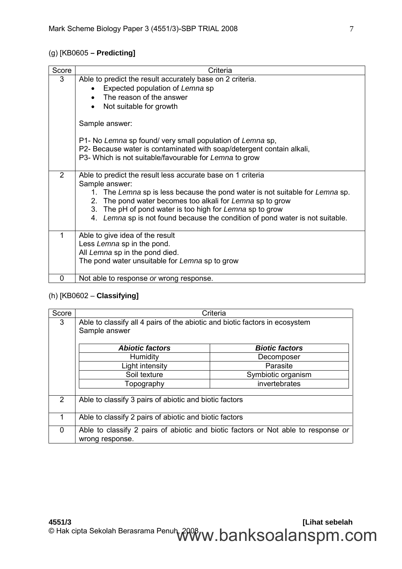# (g) [KB0605 **– Predicting]**

| Score         | Criteria                                                                      |
|---------------|-------------------------------------------------------------------------------|
| 3             | Able to predict the result accurately base on 2 criteria.                     |
|               | Expected population of Lemna sp                                               |
|               | The reason of the answer                                                      |
|               | Not suitable for growth<br>$\bullet$                                          |
|               | Sample answer:                                                                |
|               | P1- No Lemna sp found/ very small population of Lemna sp,                     |
|               | P2- Because water is contaminated with soap/detergent contain alkali,         |
|               | P3- Which is not suitable/favourable for Lemna to grow                        |
|               |                                                                               |
| $\mathcal{P}$ | Able to predict the result less accurate base on 1 criteria                   |
|               | Sample answer:                                                                |
|               | 1. The Lemna sp is less because the pond water is not suitable for Lemna sp.  |
|               | 2. The pond water becomes too alkali for Lemna sp to grow                     |
|               | 3. The pH of pond water is too high for Lemna sp to grow                      |
|               | 4. Lemna sp is not found because the condition of pond water is not suitable. |
| 1             | Able to give idea of the result                                               |
|               | Less Lemna sp in the pond.                                                    |
|               | All Lemna sp in the pond died.                                                |
|               | The pond water unsuitable for Lemna sp to grow                                |
|               |                                                                               |
| 0             | Not able to response or wrong response.                                       |

# (h) [KB0602 – **Classifying]**

| Score         | Criteria                                                                                     |                                                                                   |  |
|---------------|----------------------------------------------------------------------------------------------|-----------------------------------------------------------------------------------|--|
| 3             | Able to classify all 4 pairs of the abiotic and biotic factors in ecosystem<br>Sample answer |                                                                                   |  |
|               | <b>Abiotic factors</b>                                                                       | <b>Biotic factors</b>                                                             |  |
|               | Humidity                                                                                     | Decomposer                                                                        |  |
|               | Light intensity                                                                              | Parasite                                                                          |  |
|               | Soil texture                                                                                 | Symbiotic organism                                                                |  |
|               | Topography                                                                                   | invertebrates                                                                     |  |
| $\mathcal{P}$ | Able to classify 3 pairs of abiotic and biotic factors                                       |                                                                                   |  |
|               | Able to classify 2 pairs of abiotic and biotic factors                                       |                                                                                   |  |
| 0             | wrong response.                                                                              | Able to classify 2 pairs of abiotic and biotic factors or Not able to response or |  |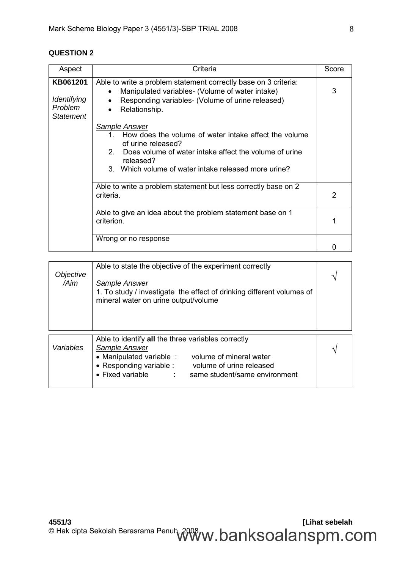## **QUESTION 2**

| Aspect                                                 | Criteria                                                                                                                                                                                                                            | Score |
|--------------------------------------------------------|-------------------------------------------------------------------------------------------------------------------------------------------------------------------------------------------------------------------------------------|-------|
| KB061201<br>Identifying<br>Problem<br><b>Statement</b> | Able to write a problem statement correctly base on 3 criteria:<br>Manipulated variables- (Volume of water intake)<br>Responding variables- (Volume of urine released)<br>Relationship.<br>$\bullet$                                | 3     |
|                                                        | Sample Answer<br>1. How does the volume of water intake affect the volume<br>of urine released?<br>Does volume of water intake affect the volume of urine<br>2<br>released?<br>3. Which volume of water intake released more urine? |       |
|                                                        | Able to write a problem statement but less correctly base on 2<br>criteria.                                                                                                                                                         | 2     |
|                                                        | Able to give an idea about the problem statement base on 1<br>criterion.                                                                                                                                                            |       |
|                                                        | Wrong or no response                                                                                                                                                                                                                |       |

| Objective<br>/Aim | Able to state the objective of the experiment correctly<br>Sample Answer<br>1. To study / investigate the effect of drinking different volumes of<br>mineral water on urine output/volume                                                                   |  |  |  |
|-------------------|-------------------------------------------------------------------------------------------------------------------------------------------------------------------------------------------------------------------------------------------------------------|--|--|--|
| Variables         | Able to identify all the three variables correctly<br>Sample Answer<br>• Manipulated variable :<br>volume of mineral water<br>• Responding variable :<br>volume of urine released<br>• Fixed variable<br>same student/same environment<br><b>Contractor</b> |  |  |  |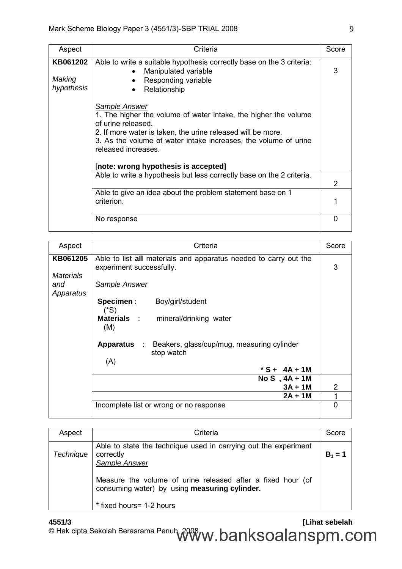| Aspect                           | Criteria                                                                                                                                                                                                                                                                                                       | Score |
|----------------------------------|----------------------------------------------------------------------------------------------------------------------------------------------------------------------------------------------------------------------------------------------------------------------------------------------------------------|-------|
| KB061202<br>Making<br>hypothesis | Able to write a suitable hypothesis correctly base on the 3 criteria:<br>Manipulated variable<br>Responding variable<br>Relationship                                                                                                                                                                           | 3     |
|                                  | <b>Sample Answer</b><br>1. The higher the volume of water intake, the higher the volume<br>of urine released.<br>2. If more water is taken, the urine released will be more.<br>3. As the volume of water intake increases, the volume of urine<br>released increases.<br>[note: wrong hypothesis is accepted] |       |
|                                  | Able to write a hypothesis but less correctly base on the 2 criteria.                                                                                                                                                                                                                                          | 2     |
|                                  | Able to give an idea about the problem statement base on 1<br>criterion.                                                                                                                                                                                                                                       |       |
|                                  | No response                                                                                                                                                                                                                                                                                                    | ∩     |

| Aspect                               | Criteria                                                                                     | Score |  |  |  |
|--------------------------------------|----------------------------------------------------------------------------------------------|-------|--|--|--|
| KB061205                             | Able to list all materials and apparatus needed to carry out the<br>experiment successfully. |       |  |  |  |
| <b>Materials</b><br>and<br>Apparatus | Sample Answer                                                                                |       |  |  |  |
|                                      | Specimen :<br>Boy/girl/student<br>$(^*S)$                                                    |       |  |  |  |
|                                      | Materials : mineral/drinking water<br>(M)                                                    |       |  |  |  |
|                                      | <b>Apparatus</b> :<br>Beakers, glass/cup/mug, measuring cylinder<br>stop watch               |       |  |  |  |
|                                      | (A)<br>* S + 4A + 1M                                                                         |       |  |  |  |
|                                      | $NoS$ , $4A + 1M$<br>$3A + 1M$                                                               | 2     |  |  |  |
|                                      | $2A + 1M$                                                                                    |       |  |  |  |
|                                      | Incomplete list or wrong or no response                                                      |       |  |  |  |

| Aspect           | Criteria                                                                                                     | Score     |
|------------------|--------------------------------------------------------------------------------------------------------------|-----------|
| <b>Technique</b> | Able to state the technique used in carrying out the experiment<br>correctly<br>Sample Answer                | $B_1 = 1$ |
|                  | Measure the volume of urine released after a fixed hour (of<br>consuming water) by using measuring cylinder. |           |
|                  | * fixed hours = 1-2 hours                                                                                    |           |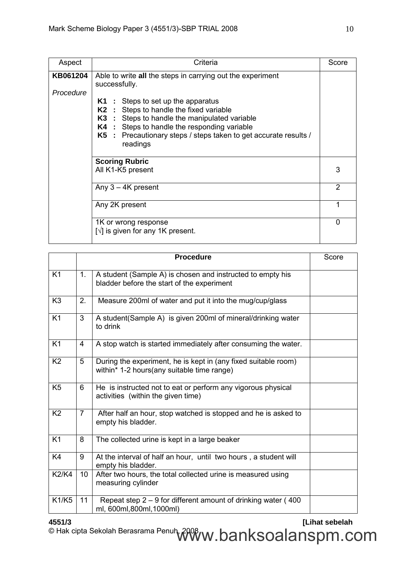| Aspect                | Criteria                                                                                                                                                                                                                                                                                                                                                             | Score       |
|-----------------------|----------------------------------------------------------------------------------------------------------------------------------------------------------------------------------------------------------------------------------------------------------------------------------------------------------------------------------------------------------------------|-------------|
| KB061204<br>Procedure | Able to write all the steps in carrying out the experiment<br>successfully.<br>$K1$ : Steps to set up the apparatus<br><b>K2</b> : Steps to handle the fixed variable<br><b>K3</b> : Steps to handle the manipulated variable<br><b>K4</b> : Steps to handle the responding variable<br>K5 : Precautionary steps / steps taken to get accurate results /<br>readings |             |
|                       | <b>Scoring Rubric</b><br>All K1-K5 present                                                                                                                                                                                                                                                                                                                           | 3           |
|                       | Any $3 - 4K$ present                                                                                                                                                                                                                                                                                                                                                 | 2           |
|                       | Any 2K present                                                                                                                                                                                                                                                                                                                                                       | 1           |
|                       | 1K or wrong response<br>$\lceil \sqrt{\rceil}$ is given for any 1K present.                                                                                                                                                                                                                                                                                          | $\mathbf 0$ |

|                |                | <b>Procedure</b>                                                                                             | Score |
|----------------|----------------|--------------------------------------------------------------------------------------------------------------|-------|
| K <sub>1</sub> | 1 <sub>1</sub> | A student (Sample A) is chosen and instructed to empty his<br>bladder before the start of the experiment     |       |
| K <sub>3</sub> | 2.             | Measure 200ml of water and put it into the mug/cup/glass                                                     |       |
| K1             | 3              | A student(Sample A) is given 200ml of mineral/drinking water<br>to drink                                     |       |
| K <sub>1</sub> | 4              | A stop watch is started immediately after consuming the water.                                               |       |
| K <sub>2</sub> | 5              | During the experiment, he is kept in (any fixed suitable room)<br>within* 1-2 hours(any suitable time range) |       |
| K <sub>5</sub> | 6              | He is instructed not to eat or perform any vigorous physical<br>activities (within the given time)           |       |
| K <sub>2</sub> | $\overline{7}$ | After half an hour, stop watched is stopped and he is asked to<br>empty his bladder.                         |       |
| K <sub>1</sub> | 8              | The collected urine is kept in a large beaker                                                                |       |
| K4             | 9              | At the interval of half an hour, until two hours, a student will<br>empty his bladder.                       |       |
| <b>K2/K4</b>   | 10             | After two hours, the total collected urine is measured using<br>measuring cylinder                           |       |
| K1/K5          | 11             | Repeat step $2 - 9$ for different amount of drinking water (400<br>ml, 600ml, 800ml, 1000ml)                 |       |

**4551/3 [Lihat sebelah** © Hak cipta Sekolah Berasrama Penuh, 2008 $\pmb{w}$ .  $\pmb{b}$ an $\pmb{k}$ soalan $\pmb{s}$ pm.com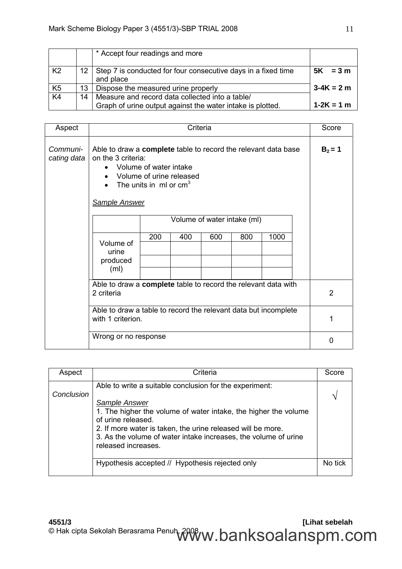|                |     | * Accept four readings and more                                                                               |                |
|----------------|-----|---------------------------------------------------------------------------------------------------------------|----------------|
| K <sub>2</sub> | 12. | Step 7 is conducted for four consecutive days in a fixed time<br>and place                                    | $5K = 3m$      |
| K <sub>5</sub> | 13  | Dispose the measured urine properly                                                                           | $3-4K = 2m$    |
| K <sub>4</sub> | 14  | Measure and record data collected into a table/<br>Graph of urine output against the water intake is plotted. | $1 - 2K = 1$ m |

| Aspect                      |                                                                                                                                                                                                  | Score |     |     |     |           |                |
|-----------------------------|--------------------------------------------------------------------------------------------------------------------------------------------------------------------------------------------------|-------|-----|-----|-----|-----------|----------------|
| Communi-<br>cating data     | Able to draw a complete table to record the relevant data base<br>on the 3 criteria:<br>Volume of water intake<br>Volume of urine released<br>The units in $ml$ or $cm3$<br><b>Sample Answer</b> |       |     |     |     | $B_2 = 1$ |                |
| Volume of water intake (ml) |                                                                                                                                                                                                  |       |     |     |     |           |                |
|                             | Volume of<br>urine                                                                                                                                                                               | 200   | 400 | 600 | 800 | 1000      |                |
|                             | produced<br>(m <sub>l</sub> )                                                                                                                                                                    |       |     |     |     |           |                |
|                             | Able to draw a complete table to record the relevant data with<br>2 criteria                                                                                                                     |       |     |     |     |           | $\overline{2}$ |
|                             | Able to draw a table to record the relevant data but incomplete<br>with 1 criterion.                                                                                                             |       |     |     |     | 1         |                |
|                             | Wrong or no response                                                                                                                                                                             |       |     |     |     |           | 0              |

| Aspect     | Criteria                                                                                                                                                                                                                                                                                                                   | Score   |
|------------|----------------------------------------------------------------------------------------------------------------------------------------------------------------------------------------------------------------------------------------------------------------------------------------------------------------------------|---------|
| Conclusion | Able to write a suitable conclusion for the experiment:<br>Sample Answer<br>1. The higher the volume of water intake, the higher the volume<br>of urine released.<br>2. If more water is taken, the urine released will be more.<br>3. As the volume of water intake increases, the volume of urine<br>released increases. |         |
|            | Hypothesis accepted // Hypothesis rejected only                                                                                                                                                                                                                                                                            | No tick |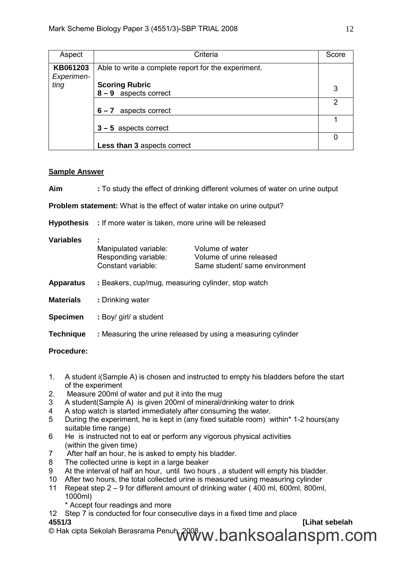| Aspect                 | Criteria                                            | Score |
|------------------------|-----------------------------------------------------|-------|
| KB061203<br>Experimen- | Able to write a complete report for the experiment. |       |
| ting                   | <b>Scoring Rubric</b><br>$8 - 9$ aspects correct    | 3     |
|                        | aspects correct<br>$6 - 7$                          | 2     |
|                        | $3 - 5$ aspects correct                             |       |
|                        | Less than 3 aspects correct                         | 0     |

### **Sample Answer**

| Aim                                                                           | : To study the effect of drinking different volumes of water on urine output |                                                                               |  |  |  |  |
|-------------------------------------------------------------------------------|------------------------------------------------------------------------------|-------------------------------------------------------------------------------|--|--|--|--|
| <b>Problem statement:</b> What is the effect of water intake on urine output? |                                                                              |                                                                               |  |  |  |  |
|                                                                               | <b>Hypothesis</b> : If more water is taken, more urine will be released      |                                                                               |  |  |  |  |
| <b>Variables</b>                                                              | Manipulated variable:<br>Responding variable:<br>Constant variable:          | Volume of water<br>Volume of urine released<br>Same student/ same environment |  |  |  |  |
| <b>Apparatus</b>                                                              | : Beakers, cup/mug, measuring cylinder, stop watch                           |                                                                               |  |  |  |  |
| <b>Materials</b>                                                              | : Drinking water                                                             |                                                                               |  |  |  |  |
| <b>Specimen</b>                                                               | : Boy/ girl/ a student                                                       |                                                                               |  |  |  |  |
| <b>Technique</b>                                                              |                                                                              | : Measuring the urine released by using a measuring cylinder                  |  |  |  |  |
|                                                                               |                                                                              |                                                                               |  |  |  |  |

### **Procedure:**

- 1. A student i(Sample A) is chosen and instructed to empty his bladders before the start of the experiment
- 2. Measure 200ml of water and put it into the mug<br>3 A student(Sample A) is given 200ml of mineral/
- 3 A student(Sample A) is given 200ml of mineral/drinking water to drink<br>4 A stop watch is started immediately after consuming the water.
- 4 A stop watch is started immediately after consuming the water.
- 5 During the experiment, he is kept in (any fixed suitable room) within\* 1-2 hours(any suitable time range)
- 6 He is instructed not to eat or perform any vigorous physical activities (within the given time)
- 7 After half an hour, he is asked to empty his bladder.
- 8 The collected urine is kept in a large beaker<br>9 At the interval of half an hour until two hour
- At the interval of half an hour, until two hours, a student will empty his bladder.
- 10 After two hours, the total collected urine is measured using measuring cylinder
- 11 Repeat step 2 9 for different amount of drinking water ( 400 ml, 600ml, 800ml, 1000ml)
	- \* Accept four readings and more
- **4551/3 [Lihat sebelah** 12 Step 7 is conducted for four consecutive days in a fixed time and place 4551/3

© Hak cipta Sekolah Berasrama Penuh, 2008 $\pmb{w}$ .  $\pmb{b}$ an $\pmb{k}$ soalan $\pmb{s}$ pm.com